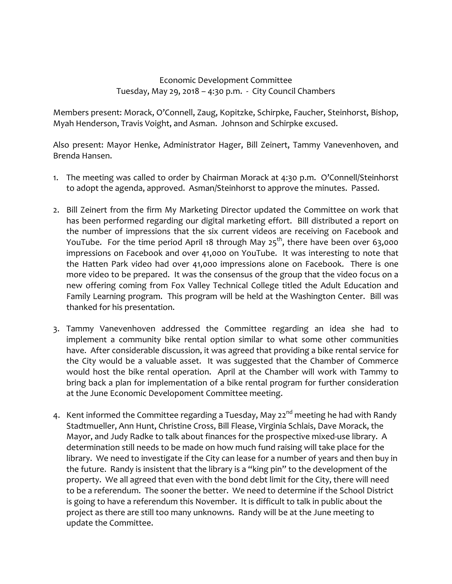## Economic Development Committee Tuesday, May 29, 2018 – 4:30 p.m. ‐ City Council Chambers

Members present: Morack, O'Connell, Zaug, Kopitzke, Schirpke, Faucher, Steinhorst, Bishop, Myah Henderson, Travis Voight, and Asman. Johnson and Schirpke excused.

Also present: Mayor Henke, Administrator Hager, Bill Zeinert, Tammy Vanevenhoven, and Brenda Hansen.

- 1. The meeting was called to order by Chairman Morack at 4:30 p.m. O'Connell/Steinhorst to adopt the agenda, approved. Asman/Steinhorst to approve the minutes. Passed.
- 2. Bill Zeinert from the firm My Marketing Director updated the Committee on work that has been performed regarding our digital marketing effort. Bill distributed a report on the number of impressions that the six current videos are receiving on Facebook and YouTube. For the time period April 18 through May  $25<sup>th</sup>$ , there have been over 63,000 impressions on Facebook and over 41,000 on YouTube. It was interesting to note that the Hatten Park video had over 41,000 impressions alone on Facebook. There is one more video to be prepared. It was the consensus of the group that the video focus on a new offering coming from Fox Valley Technical College titled the Adult Education and Family Learning program. This program will be held at the Washington Center. Bill was thanked for his presentation.
- 3. Tammy Vanevenhoven addressed the Committee regarding an idea she had to implement a community bike rental option similar to what some other communities have. After considerable discussion, it was agreed that providing a bike rental service for the City would be a valuable asset. It was suggested that the Chamber of Commerce would host the bike rental operation. April at the Chamber will work with Tammy to bring back a plan for implementation of a bike rental program for further consideration at the June Economic Develop0ment Committee meeting.
- 4. Kent informed the Committee regarding a Tuesday, May 22<sup>nd</sup> meeting he had with Randy Stadtmueller, Ann Hunt, Christine Cross, Bill Flease, Virginia Schlais, Dave Morack, the Mayor, and Judy Radke to talk about finances for the prospective mixed-use library. A determination still needs to be made on how much fund raising will take place for the library. We need to investigate if the City can lease for a number of years and then buy in the future. Randy is insistent that the library is a "king pin" to the development of the property. We all agreed that even with the bond debt limit for the City, there will need to be a referendum. The sooner the better. We need to determine if the School District is going to have a referendum this November. It is difficult to talk in public about the project as there are still too many unknowns. Randy will be at the June meeting to update the Committee.